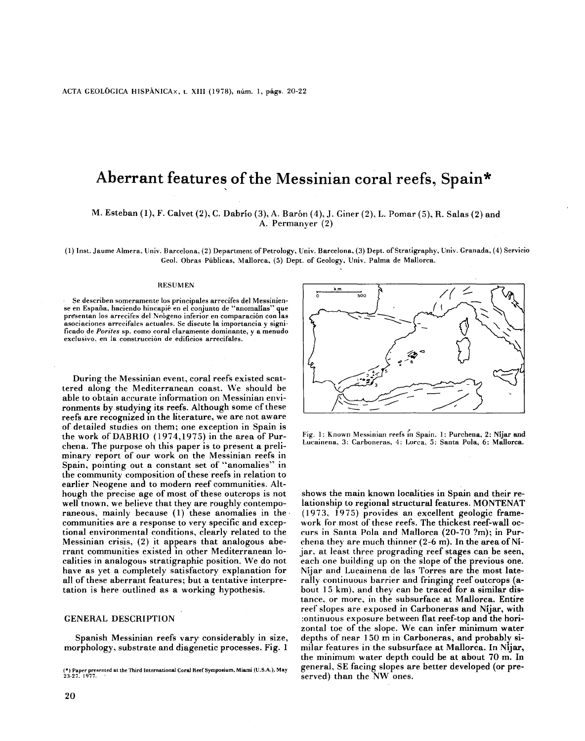# **Aberrant** features **ofthe Messinian coral** reefs, **Spain\***

# M. Esteban (1), F. Calvet (2), C. Dabrío (3), A. Barón (4), J. Giner (2), L. Pomar (5), R. Salas (2) and A. Permanyer (2)

(1) Inst. Jaume Almera, Univ. Barcelona, (2) Department of Petrology, Univ. Barcelona, (3) Dept. of Stratigraphy, Univ. Granada, (4) Servicio Geo!. Obras Públicas, Mallorca, (5) Dept. of Geology, Univ. Palma de Mallorca.

#### RESUMEN

Se describen someramente los principales arrecifes del Messiniense en España, haciendo hincapié en el conjunto de "anomalías" presentan los arrecifes del Neógeno inferior en comparación con las asociaciones arrecifales actuales. Se discute la importancia y significado de *Porites* sp. como coral claramente dominante, y a menudo exclusivo. en la construcción de edificios arrecifales.

During the Messinian event, coral reefs existed scattered along the Mediterranean coast. We should be able to obtain accurate information on Messinian environments by studying its reefs. Although some of these reefs are recognized In the literature, we are not aware of detailed studies on them; one exception in Spain is the work of DABRIO  $(1974, 1975)$  in the area of Purchena. The purpose oh this paper is to present a preliminary report of our work on the Messinian reefs in Spain, pointing out a constant set of "anomalies" in the community composition of these reefs in relation to earlier Neogene and to modern reef communities. Although the precise age of most of these outcrops is not well tnown, we believe that they are roughly contemporaneous, mainly because (1) these anomalies in the communities are a response to very specific and exceptional environmental conditions, clearly related to the Messinian crisis, (2) it appears that analogous aberrant communities existed in other Mediterranean 10 calities in analogous stratigraphic position. We do not have as yet a cumpletely satisfactory explanation for all of these aberrant features; but a tentative interpretation is here outlined as a working hypothesis.

## GENERAL DESCRlPTION

Spanish Messinian reefs vary considerably in size, morphology, substrate and diagenetic processes. Fig. 1



Fig. 1: Known Messinian reefs in Spain. 1: Purchena, 2: Nijar and Lucainena, 3: Carboneras, 4: Lorca, 5: Santa Pola, 6: Mallorca.

shows the main known localities in Spain and their relationship to regional structural features. MONTENAT (1973, 1975) provides an excellent geologic framework for most of these reefs. The thickest reef-wall occurs in Santa Pola and Mallorca (20-70 ?m); in Purchena they are much thinner  $(2-6$  m). In the area of Nijar, at least three prograding reef stages can be seen, each one building up on the slope of the previous one. Níjar and Lucainena de las Torres are the most laterally continuous barrier and fringing reef outcrops (about 15 km), and they can be traced for a similar distance, or more, in the subsurface at Mallorca. Entire reef slopes are exposed in Carboneras and Níjar, with :ontinuous exposure between flat reef-top and the horizontal toe of the slope. We can infer minimum water depths of near 150 m in Carboneras, and probably similar features in the subsurface at Mallorca. In Níjar, the minimum water depth could be at about 70 m. In general, SE facing slopes are better developed (or preserved) than the NW ones.

**<sup>(\*)</sup>** Paper presented at the Third **Internacional Coral** Heef Sympoeium, **Miami** (U.S.A.), **May** 23-27.1977. .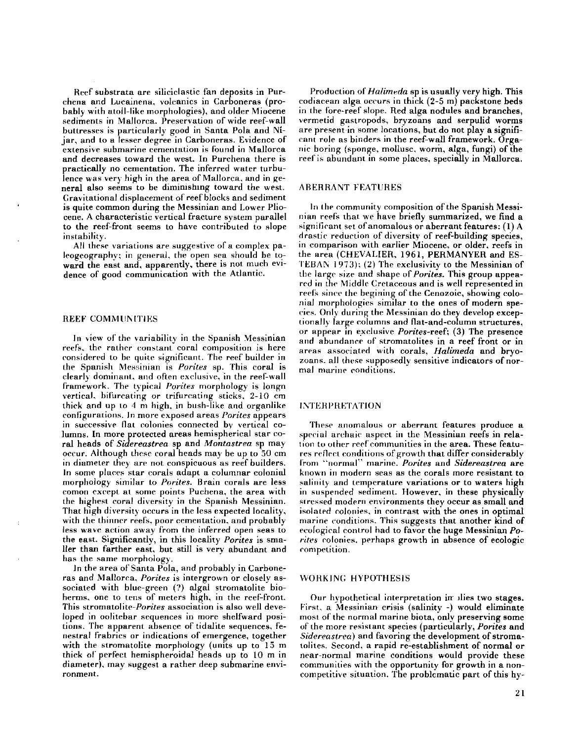Heef substrata are ailiciclastic fan deposits in Purchena and Lucainena. volcanics in Carboneras (probebly with atoll-like morphologies), and older Miocene sediments in Mallorca. Preservation of wide reef-wall buttresses is particularly good in Santa Pola and Níjar, and to a lesser degree in Carboneras. Evidence of extensive submarine cementation is found in Mallorca and decreases toward the west. In Purchena there is practically no cementation. The inferred water turbulence was very high in the area of Mallorca. and in general also seems to be diminishmg toward the west. Cravitational displacement of reefbloeks and sediment is quite common during the Messinian and Lower Pliocene. A characteristic vertical fracture system parallel to the reef-front seems to have contributed to slope instability.

All these variations are suggestive of a complex paleogeography; in general, the open sea should be toward the east and, apparently, there is not much evidence of good communication with the Atlantic.

## REEF COMMUNITIES

In view of the variability in the Spanish Messinian reefs, the rather constant coral composition is here considered to be quite significant. The reef builder in the Spanish Messinian is *Porites* sp. This coral is clearly dominant, and often exclusive, in the reef-wall framework. The typical *Porites* morphology is longn vertical. bifurcating or trifurcating sticks. 2-10 cm thick and up to 4 m high, in bush-like and organlike configur-ations. In more exposed areas *Porites* appears in successive flat colonies connected by vertical columns. In more protected áreas hemispherical star coral heads of *Sidereastrea* sp and *Montastrea* sp may occur. Although these coral heads may be up to 50 cm in diameter they are not conspicuous as reef builders. In some places star-corals adapt a columnar colonial morphology similar to *Porites*. Brain corals are less comon cxeept at sorne points Puchena, the area with the highest coral diversity in the Spanish Messinian. That high diversity occurs in the less expected locality, with the thinncr reefs. poor cementation, and probably less wave action away from the inferred open seas to the east. Significantly, in this locality *Perites* is smaller than farther east, but still is very abundant and has the same morphology.

In the area of Santa Pola, and probably in Carboneras and Mallorca, *Porites* is intergrown or closely associated with blue-green (?) algal stromatolite bioherms, one to tens of meters high, in the reef-front. This *stromatolite-Porites* association is also well developed in oolitebar sequences in more shelfward positions. The apparent absence of tidalite sequences, fenestral frabrics or indications of emergence, together with the stromatolite morphology (units up to 15 m thick 01' perfect hemispheroidal heads up to 10m in diameter), may suggest a rather deep submarine environment.

Production of *Halimeda* sp is usually very high. This codiacean alga occurs in thick (2-5 m) packstone beds in the fore-reef slope. Red alga nodules and branches, vermetid gastropods, bryzoans and serpulid worms are present in some locations, but do not play a significant role as binders in the reef-wall framework. Organic boring (sponge, mollusc, worm, alga, fungi) of the reef is abundant in some places, specially in Mallorca.

### ABERRANT FEATURES

In the community composition of the Spanish Messinian reefs that we have briefiy summarized, we find a significant set of anomalous or aberrant features:  $(1)$  A drastic reduction of diversity of reef-building species, in comparison with earlier Miocene, or older, reefs in the area (CHEVALIER, 1961, PERMANYER and ES-TEBAN  $1973$ ; (2) The exclusivity to the Messinian of <sup>t</sup> he largc size and shape of *Perites,* This group appeared in the Midd!e Cretaceous and is well represented in reefs since the begining of the Cenozoic, showing colonial morphologies similar to the ones of modern speeies. Only during the Messinian do they develop exceptionally large columns and flat-and-column structures, or appear in exclusive *Porites-reei;* (3) The presence and abundance of stromatolites in a reef front or in areas associated with corals, *Halimeda* and bryozoans, all these supposedly sensitive indicators of normal marine conditions.

## INTERPRETATION

These anomalous or aberrant features produce a special archaic aspect in the Messinian reefs in relation to other reef communities in the area. These features reflect conditions of growth that differ considerably l'rorn "normal" marine. *Porites* and *Sídereastrea* are known in modern seas as the corals more resistant to salinity and temperature variations or to waters high in suspended sediment. However, in these physically stressed modern environments they occur as small and isolated colonies, in contrast with the ones in optimal marine conditions. This suggests that another kind of ecological control had to favor the huge Messinian *Po*rites colonies, perhaps growth in absence of ecologic competition.

## WORKING HYPOTHESlS

Our hypothetical interpretation in ilies two stages. First. a Messinian crisis (salinity -) would eliminate most of the normal marine biota, only preserving some 01' the more resistant speeies (particularly, *Porites* and *Sidereastrea*) and favoring the development of stromatolites. Second, a rapid re-establishment of normal or near-normal marine conditions would provide these communities with the opportunity for growth in a noneompetitive situation. The problcmatic part of this hy-